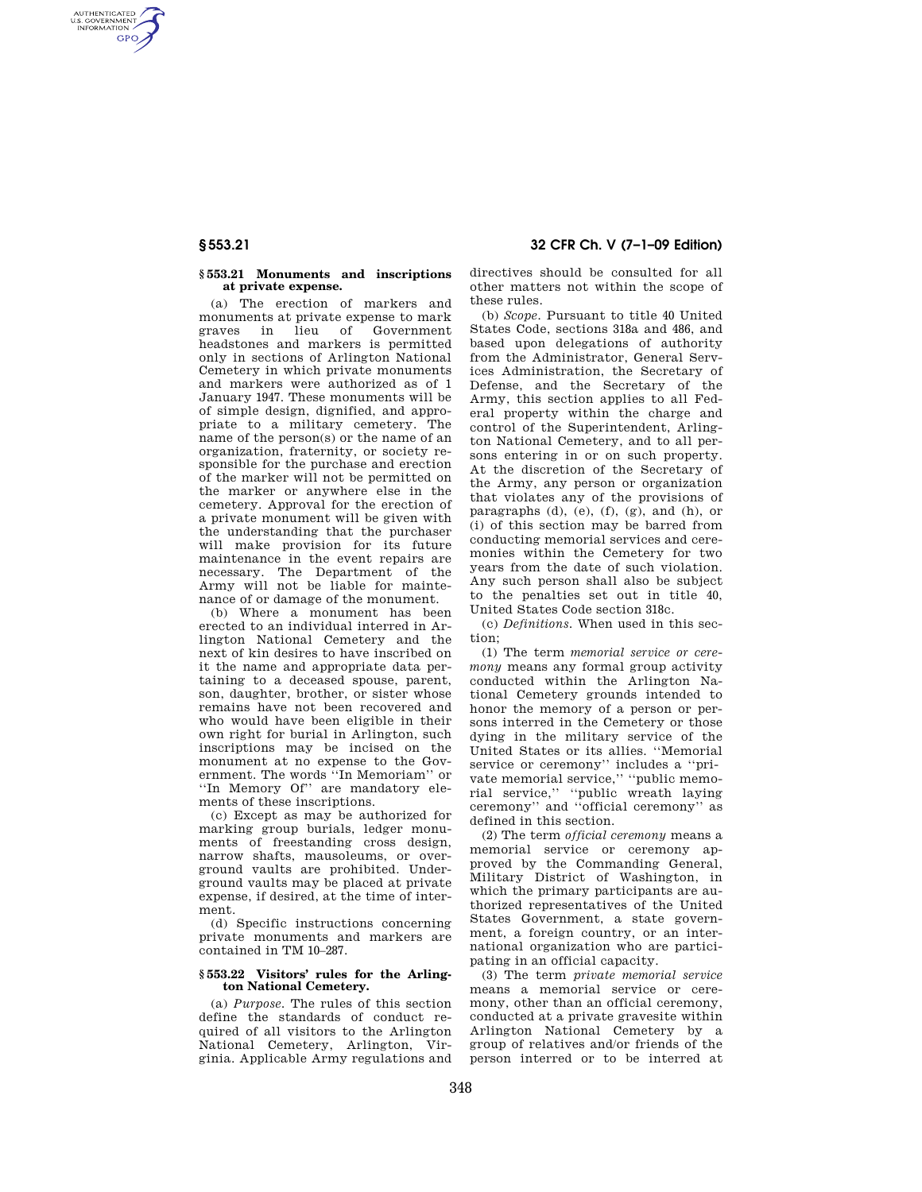AUTHENTICATED<br>U.S. GOVERNMENT<br>INFORMATION **GPO** 

### **§ 553.21 Monuments and inscriptions at private expense.**

(a) The erection of markers and monuments at private expense to mark graves in lieu of Government headstones and markers is permitted only in sections of Arlington National Cemetery in which private monuments and markers were authorized as of 1 January 1947. These monuments will be of simple design, dignified, and appropriate to a military cemetery. The name of the person(s) or the name of an organization, fraternity, or society responsible for the purchase and erection of the marker will not be permitted on the marker or anywhere else in the cemetery. Approval for the erection of a private monument will be given with the understanding that the purchaser will make provision for its future maintenance in the event repairs are necessary. The Department of the Army will not be liable for maintenance of or damage of the monument.

(b) Where a monument has been erected to an individual interred in Arlington National Cemetery and the next of kin desires to have inscribed on it the name and appropriate data pertaining to a deceased spouse, parent, son, daughter, brother, or sister whose remains have not been recovered and who would have been eligible in their own right for burial in Arlington, such inscriptions may be incised on the monument at no expense to the Government. The words ''In Memoriam'' or ''In Memory Of'' are mandatory elements of these inscriptions.

(c) Except as may be authorized for marking group burials, ledger monuments of freestanding cross design, narrow shafts, mausoleums, or overground vaults are prohibited. Underground vaults may be placed at private expense, if desired, at the time of interment.

(d) Specific instructions concerning private monuments and markers are contained in TM 10–287.

### **§ 553.22 Visitors' rules for the Arlington National Cemetery.**

(a) *Purpose.* The rules of this section define the standards of conduct required of all visitors to the Arlington National Cemetery, Arlington, Virginia. Applicable Army regulations and

**§ 553.21 32 CFR Ch. V (7–1–09 Edition)** 

directives should be consulted for all other matters not within the scope of these rules.

(b) *Scope.* Pursuant to title 40 United States Code, sections 318a and 486, and based upon delegations of authority from the Administrator, General Services Administration, the Secretary of Defense, and the Secretary of the Army, this section applies to all Federal property within the charge and control of the Superintendent, Arlington National Cemetery, and to all persons entering in or on such property. At the discretion of the Secretary of the Army, any person or organization that violates any of the provisions of paragraphs (d), (e), (f), (g), and (h), or (i) of this section may be barred from conducting memorial services and ceremonies within the Cemetery for two years from the date of such violation. Any such person shall also be subject to the penalties set out in title 40, United States Code section 318c.

(c) *Definitions.* When used in this section;

(1) The term *memorial service or ceremony* means any formal group activity conducted within the Arlington National Cemetery grounds intended to honor the memory of a person or persons interred in the Cemetery or those dying in the military service of the United States or its allies. ''Memorial service or ceremony'' includes a ''private memorial service,'' ''public memorial service,'' ''public wreath laying ceremony'' and ''official ceremony'' as defined in this section.

(2) The term *official ceremony* means a memorial service or ceremony approved by the Commanding General, Military District of Washington, in which the primary participants are authorized representatives of the United States Government, a state government, a foreign country, or an international organization who are participating in an official capacity.

(3) The term *private memorial service*  means a memorial service or ceremony, other than an official ceremony, conducted at a private gravesite within Arlington National Cemetery by a group of relatives and/or friends of the person interred or to be interred at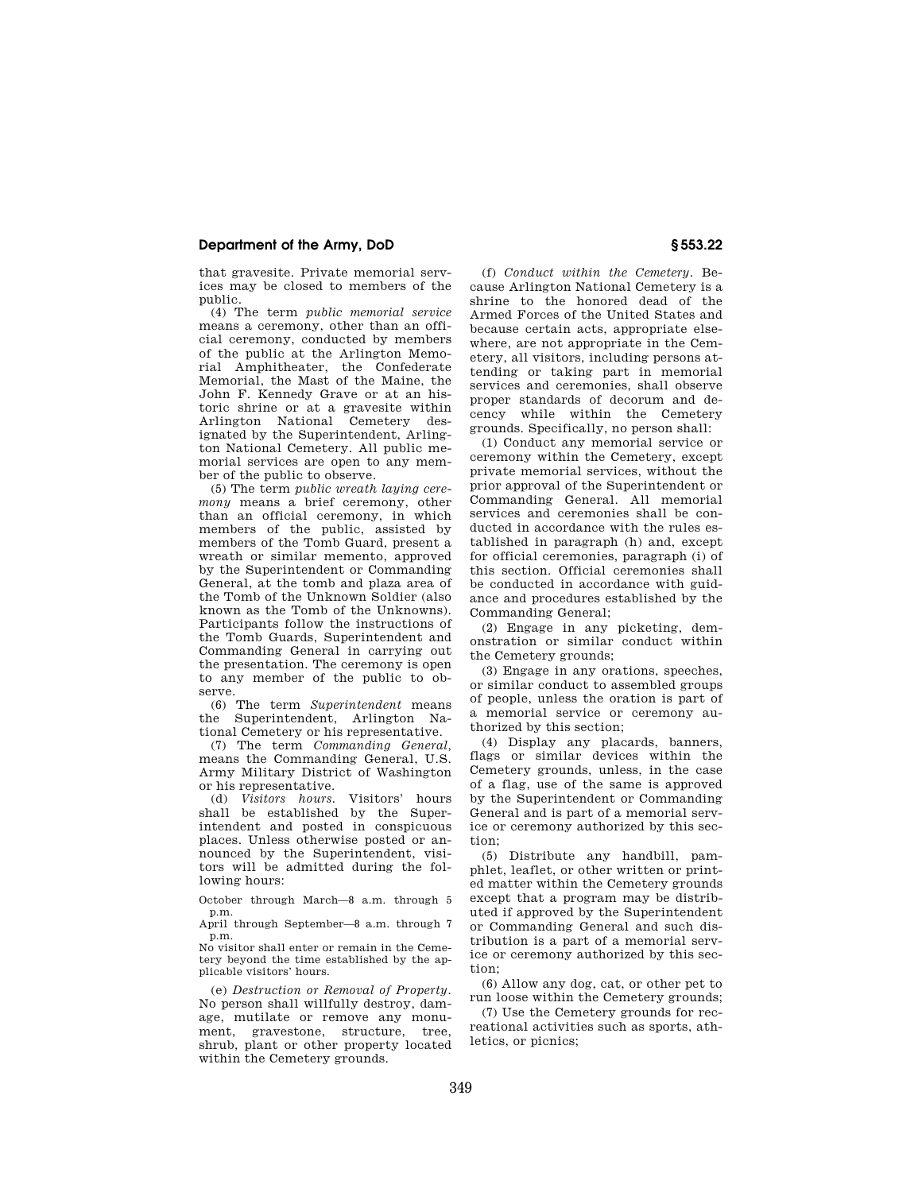## **Department of the Army, DoD § 553.22**

that gravesite. Private memorial services may be closed to members of the public.

(4) The term *public memorial service*  means a ceremony, other than an official ceremony, conducted by members of the public at the Arlington Memorial Amphitheater, the Confederate Memorial, the Mast of the Maine, the John F. Kennedy Grave or at an historic shrine or at a gravesite within Arlington National Cemetery designated by the Superintendent, Arlington National Cemetery. All public memorial services are open to any member of the public to observe.

(5) The term *public wreath laying ceremony* means a brief ceremony, other than an official ceremony, in which members of the public, assisted by members of the Tomb Guard, present a wreath or similar memento, approved by the Superintendent or Commanding General, at the tomb and plaza area of the Tomb of the Unknown Soldier (also known as the Tomb of the Unknowns). Participants follow the instructions of the Tomb Guards, Superintendent and Commanding General in carrying out the presentation. The ceremony is open to any member of the public to observe.

(6) The term *Superintendent* means the Superintendent, Arlington National Cemetery or his representative.

(7) The term *Commanding General,*  means the Commanding General, U.S. Army Military District of Washington or his representative.

(d) *Visitors hours.* Visitors' hours shall be established by the Superintendent and posted in conspicuous places. Unless otherwise posted or announced by the Superintendent, visitors will be admitted during the following hours:

October through March—8 a.m. through 5 p.m.

April through September—8 a.m. through 7 p.m.

No visitor shall enter or remain in the Cemetery beyond the time established by the applicable visitors' hours.

(e) *Destruction or Removal of Property.*  No person shall willfully destroy, damage, mutilate or remove any monument, gravestone, structure, tree, shrub, plant or other property located within the Cemetery grounds.

(f) *Conduct within the Cemetery.* Because Arlington National Cemetery is a shrine to the honored dead of the Armed Forces of the United States and because certain acts, appropriate elsewhere, are not appropriate in the Cemetery, all visitors, including persons attending or taking part in memorial services and ceremonies, shall observe proper standards of decorum and decency while within the Cemetery grounds. Specifically, no person shall:

(1) Conduct any memorial service or ceremony within the Cemetery, except private memorial services, without the prior approval of the Superintendent or Commanding General. All memorial services and ceremonies shall be conducted in accordance with the rules established in paragraph (h) and, except for official ceremonies, paragraph (i) of this section. Official ceremonies shall be conducted in accordance with guidance and procedures established by the Commanding General;

(2) Engage in any picketing, demonstration or similar conduct within the Cemetery grounds;

(3) Engage in any orations, speeches, or similar conduct to assembled groups of people, unless the oration is part of a memorial service or ceremony authorized by this section;

(4) Display any placards, banners, flags or similar devices within the Cemetery grounds, unless, in the case of a flag, use of the same is approved by the Superintendent or Commanding General and is part of a memorial service or ceremony authorized by this section;

(5) Distribute any handbill, pamphlet, leaflet, or other written or printed matter within the Cemetery grounds except that a program may be distributed if approved by the Superintendent or Commanding General and such distribution is a part of a memorial service or ceremony authorized by this section;

(6) Allow any dog, cat, or other pet to run loose within the Cemetery grounds;

(7) Use the Cemetery grounds for recreational activities such as sports, athletics, or picnics;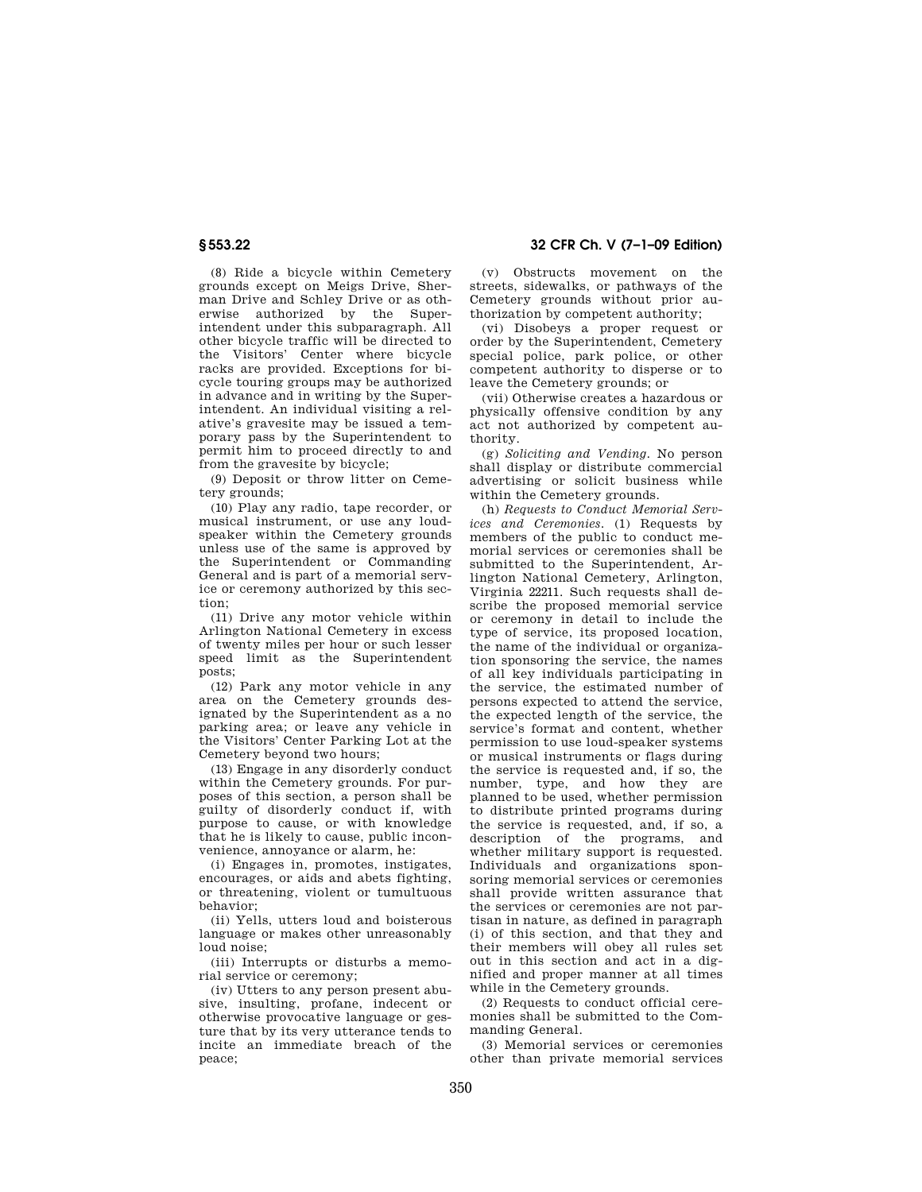(8) Ride a bicycle within Cemetery grounds except on Meigs Drive, Sherman Drive and Schley Drive or as otherwise authorized by the Superintendent under this subparagraph. All other bicycle traffic will be directed to the Visitors' Center where bicycle racks are provided. Exceptions for bicycle touring groups may be authorized in advance and in writing by the Superintendent. An individual visiting a relative's gravesite may be issued a temporary pass by the Superintendent to permit him to proceed directly to and from the gravesite by bicycle;

(9) Deposit or throw litter on Cemetery grounds;

(10) Play any radio, tape recorder, or musical instrument, or use any loudspeaker within the Cemetery grounds unless use of the same is approved by the Superintendent or Commanding General and is part of a memorial service or ceremony authorized by this section;

(11) Drive any motor vehicle within Arlington National Cemetery in excess of twenty miles per hour or such lesser speed limit as the Superintendent posts;

(12) Park any motor vehicle in any area on the Cemetery grounds designated by the Superintendent as a no parking area; or leave any vehicle in the Visitors' Center Parking Lot at the Cemetery beyond two hours;

(13) Engage in any disorderly conduct within the Cemetery grounds. For purposes of this section, a person shall be guilty of disorderly conduct if, with purpose to cause, or with knowledge that he is likely to cause, public inconvenience, annoyance or alarm, he:

(i) Engages in, promotes, instigates, encourages, or aids and abets fighting, or threatening, violent or tumultuous behavior;

(ii) Yells, utters loud and boisterous language or makes other unreasonably loud noise;

(iii) Interrupts or disturbs a memorial service or ceremony;

(iv) Utters to any person present abusive, insulting, profane, indecent or otherwise provocative language or gesture that by its very utterance tends to incite an immediate breach of the peace;

**§ 553.22 32 CFR Ch. V (7–1–09 Edition)** 

(v) Obstructs movement on the streets, sidewalks, or pathways of the Cemetery grounds without prior authorization by competent authority;

(vi) Disobeys a proper request or order by the Superintendent, Cemetery special police, park police, or other competent authority to disperse or to leave the Cemetery grounds; or

(vii) Otherwise creates a hazardous or physically offensive condition by any act not authorized by competent authority.

(g) *Soliciting and Vending.* No person shall display or distribute commercial advertising or solicit business while within the Cemetery grounds.

(h) *Requests to Conduct Memorial Services and Ceremonies.* (1) Requests by members of the public to conduct memorial services or ceremonies shall be submitted to the Superintendent, Arlington National Cemetery, Arlington, Virginia 22211. Such requests shall describe the proposed memorial service or ceremony in detail to include the type of service, its proposed location, the name of the individual or organization sponsoring the service, the names of all key individuals participating in the service, the estimated number of persons expected to attend the service, the expected length of the service, the service's format and content, whether permission to use loud-speaker systems or musical instruments or flags during the service is requested and, if so, the number, type, and how they are planned to be used, whether permission to distribute printed programs during the service is requested, and, if so, a description of the programs, and whether military support is requested. Individuals and organizations sponsoring memorial services or ceremonies shall provide written assurance that the services or ceremonies are not partisan in nature, as defined in paragraph (i) of this section, and that they and their members will obey all rules set out in this section and act in a dignified and proper manner at all times while in the Cemetery grounds.

(2) Requests to conduct official ceremonies shall be submitted to the Commanding General.

(3) Memorial services or ceremonies other than private memorial services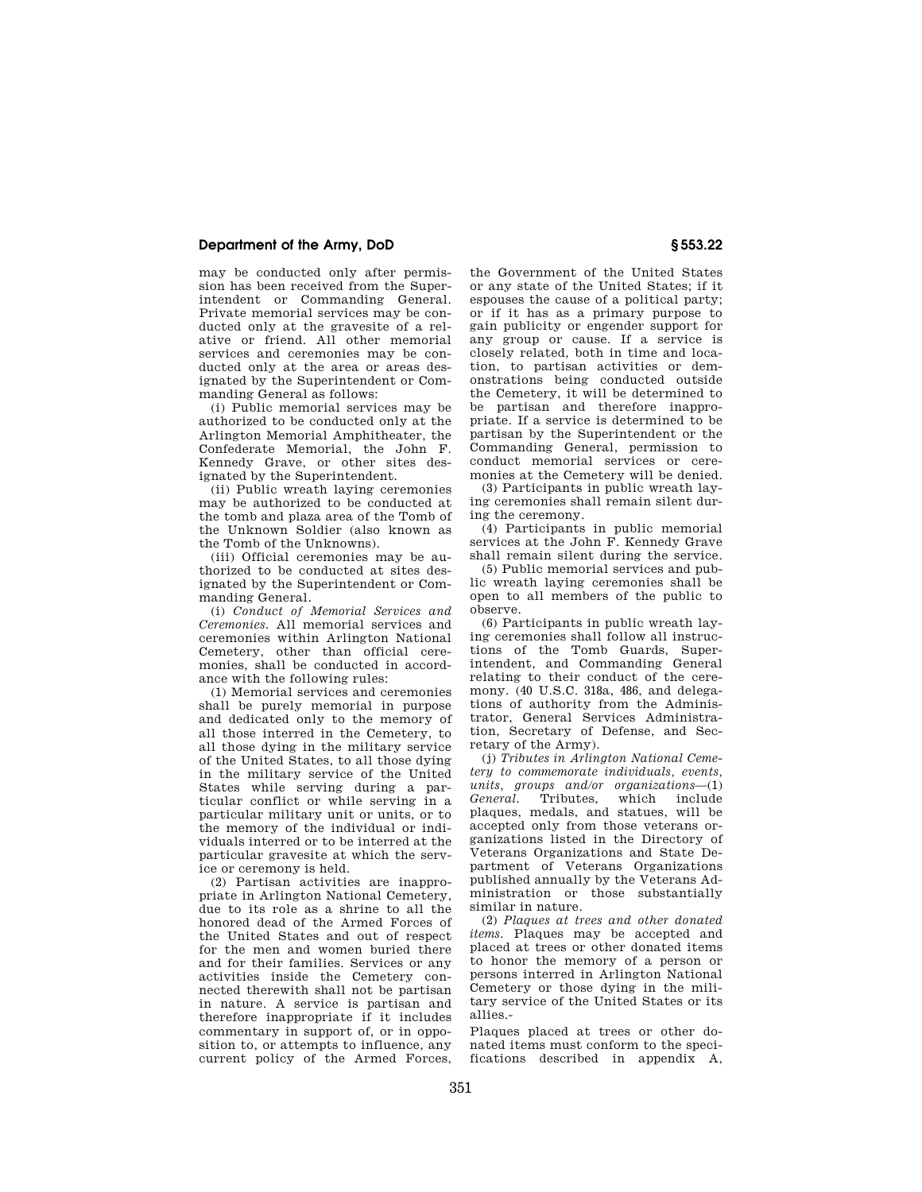# **Department of the Army, DoD § 553.22**

may be conducted only after permission has been received from the Superintendent or Commanding General. Private memorial services may be conducted only at the gravesite of a relative or friend. All other memorial services and ceremonies may be conducted only at the area or areas designated by the Superintendent or Commanding General as follows:

(i) Public memorial services may be authorized to be conducted only at the Arlington Memorial Amphitheater, the Confederate Memorial, the John F. Kennedy Grave, or other sites designated by the Superintendent.

(ii) Public wreath laying ceremonies may be authorized to be conducted at the tomb and plaza area of the Tomb of the Unknown Soldier (also known as the Tomb of the Unknowns).

(iii) Official ceremonies may be authorized to be conducted at sites designated by the Superintendent or Commanding General.

(i) *Conduct of Memorial Services and Ceremonies.* All memorial services and ceremonies within Arlington National Cemetery, other than official ceremonies, shall be conducted in accordance with the following rules:

(1) Memorial services and ceremonies shall be purely memorial in purpose and dedicated only to the memory of all those interred in the Cemetery, to all those dying in the military service of the United States, to all those dying in the military service of the United States while serving during a particular conflict or while serving in a particular military unit or units, or to the memory of the individual or individuals interred or to be interred at the particular gravesite at which the service or ceremony is held.

(2) Partisan activities are inappropriate in Arlington National Cemetery, due to its role as a shrine to all the honored dead of the Armed Forces of the United States and out of respect for the men and women buried there and for their families. Services or any activities inside the Cemetery connected therewith shall not be partisan in nature. A service is partisan and therefore inappropriate if it includes commentary in support of, or in opposition to, or attempts to influence, any current policy of the Armed Forces,

the Government of the United States or any state of the United States; if it espouses the cause of a political party; or if it has as a primary purpose to gain publicity or engender support for any group or cause. If a service is closely related, both in time and location, to partisan activities or demonstrations being conducted outside the Cemetery, it will be determined to be partisan and therefore inappropriate. If a service is determined to be partisan by the Superintendent or the Commanding General, permission to conduct memorial services or ceremonies at the Cemetery will be denied.

(3) Participants in public wreath laying ceremonies shall remain silent during the ceremony.

(4) Participants in public memorial services at the John F. Kennedy Grave shall remain silent during the service.

(5) Public memorial services and public wreath laying ceremonies shall be open to all members of the public to observe.

(6) Participants in public wreath laying ceremonies shall follow all instructions of the Tomb Guards, Superintendent, and Commanding General relating to their conduct of the ceremony. (40 U.S.C. 318a, 486, and delegations of authority from the Administrator, General Services Administration, Secretary of Defense, and Secretary of the Army).

(j) *Tributes in Arlington National Cemetery to commemorate individuals, events, units, groups and/or organizations*—(1) which include plaques, medals, and statues, will be accepted only from those veterans organizations listed in the Directory of Veterans Organizations and State Department of Veterans Organizations published annually by the Veterans Administration or those substantially similar in nature.

(2) *Plaques at trees and other donated items.* Plaques may be accepted and placed at trees or other donated items to honor the memory of a person or persons interred in Arlington National Cemetery or those dying in the military service of the United States or its allies.-

Plaques placed at trees or other donated items must conform to the specifications described in appendix A,